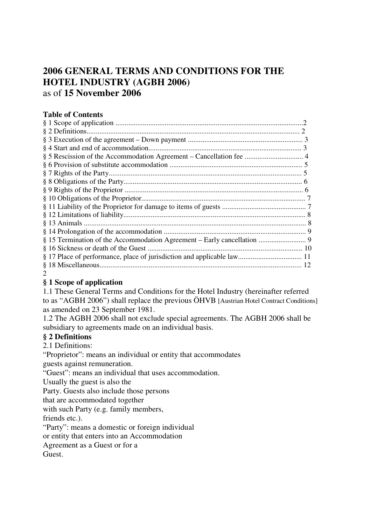# **2006 GENERAL TERMS AND CONDITIONS FOR THE HOTEL INDUSTRY (AGBH 2006)**  as of **15 November 2006**

# **Table of Contents**

#### $\mathcal{D}_{\mathcal{L}}$

# **§ 1 Scope of application**

1.1 These General Terms and Conditions for the Hotel Industry (hereinafter referred to as "AGBH 2006") shall replace the previous ÖHVB [Austrian Hotel Contract Conditions] as amended on 23 September 1981.

1.2 The AGBH 2006 shall not exclude special agreements. The AGBH 2006 shall be subsidiary to agreements made on an individual basis.

#### **§ 2 Definitions**

2.1 Definitions:

"Proprietor": means an individual or entity that accommodates guests against remuneration.

"Guest": means an individual that uses accommodation.

Usually the guest is also the

Party. Guests also include those persons

that are accommodated together

with such Party (e.g. family members,

friends etc.).

"Party": means a domestic or foreign individual

or entity that enters into an Accommodation

Agreement as a Guest or for a

Guest.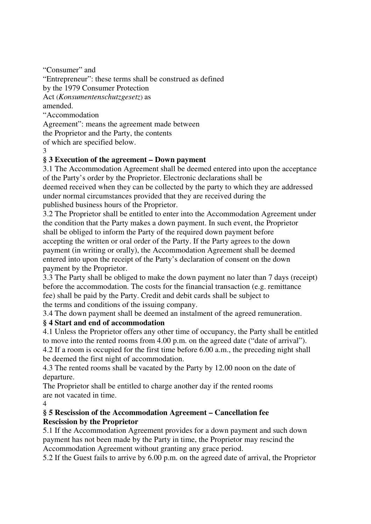"Consumer" and "Entrepreneur": these terms shall be construed as defined by the 1979 Consumer Protection Act (*Konsumentenschutzgesetz*) as amended. "Accommodation Agreement": means the agreement made between the Proprietor and the Party, the contents of which are specified below.

3

# **§ 3 Execution of the agreement – Down payment**

3.1 The Accommodation Agreement shall be deemed entered into upon the acceptance of the Party's order by the Proprietor. Electronic declarations shall be deemed received when they can be collected by the party to which they are addressed under normal circumstances provided that they are received during the published business hours of the Proprietor.

3.2 The Proprietor shall be entitled to enter into the Accommodation Agreement under the condition that the Party makes a down payment. In such event, the Proprietor shall be obliged to inform the Party of the required down payment before accepting the written or oral order of the Party. If the Party agrees to the down payment (in writing or orally), the Accommodation Agreement shall be deemed entered into upon the receipt of the Party's declaration of consent on the down payment by the Proprietor.

3.3 The Party shall be obliged to make the down payment no later than 7 days (receipt) before the accommodation. The costs for the financial transaction (e.g. remittance fee) shall be paid by the Party. Credit and debit cards shall be subject to the terms and conditions of the issuing company.

3.4 The down payment shall be deemed an instalment of the agreed remuneration.

#### **§ 4 Start and end of accommodation**

4.1 Unless the Proprietor offers any other time of occupancy, the Party shall be entitled to move into the rented rooms from 4.00 p.m. on the agreed date ("date of arrival"). 4.2 If a room is occupied for the first time before 6.00 a.m., the preceding night shall be deemed the first night of accommodation.

4.3 The rented rooms shall be vacated by the Party by 12.00 noon on the date of departure.

The Proprietor shall be entitled to charge another day if the rented rooms are not vacated in time.

4

#### **§ 5 Rescission of the Accommodation Agreement – Cancellation fee Rescission by the Proprietor**

5.1 If the Accommodation Agreement provides for a down payment and such down payment has not been made by the Party in time, the Proprietor may rescind the Accommodation Agreement without granting any grace period.

5.2 If the Guest fails to arrive by 6.00 p.m. on the agreed date of arrival, the Proprietor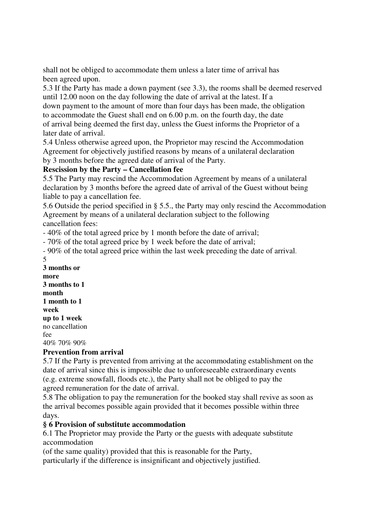shall not be obliged to accommodate them unless a later time of arrival has been agreed upon.

5.3 If the Party has made a down payment (see 3.3), the rooms shall be deemed reserved until 12.00 noon on the day following the date of arrival at the latest. If a down payment to the amount of more than four days has been made, the obligation to accommodate the Guest shall end on 6.00 p.m. on the fourth day, the date of arrival being deemed the first day, unless the Guest informs the Proprietor of a later date of arrival.

5.4 Unless otherwise agreed upon, the Proprietor may rescind the Accommodation Agreement for objectively justified reasons by means of a unilateral declaration by 3 months before the agreed date of arrival of the Party.

# **Rescission by the Party – Cancellation fee**

5.5 The Party may rescind the Accommodation Agreement by means of a unilateral declaration by 3 months before the agreed date of arrival of the Guest without being liable to pay a cancellation fee.

5.6 Outside the period specified in § 5.5., the Party may only rescind the Accommodation Agreement by means of a unilateral declaration subject to the following cancellation fees:

- 40% of the total agreed price by 1 month before the date of arrival;

- 70% of the total agreed price by 1 week before the date of arrival;

- 90% of the total agreed price within the last week preceding the date of arrival. 5

**3 months or more 3 months to 1 month 1 month to 1 week up to 1 week**  no cancellation  $f_{\rho\rho}$ 40% 70% 90%

#### **Prevention from arrival**

5.7 If the Party is prevented from arriving at the accommodating establishment on the date of arrival since this is impossible due to unforeseeable extraordinary events (e.g. extreme snowfall, floods etc.), the Party shall not be obliged to pay the agreed remuneration for the date of arrival.

5.8 The obligation to pay the remuneration for the booked stay shall revive as soon as the arrival becomes possible again provided that it becomes possible within three days.

#### **§ 6 Provision of substitute accommodation**

6.1 The Proprietor may provide the Party or the guests with adequate substitute accommodation

(of the same quality) provided that this is reasonable for the Party,

particularly if the difference is insignificant and objectively justified.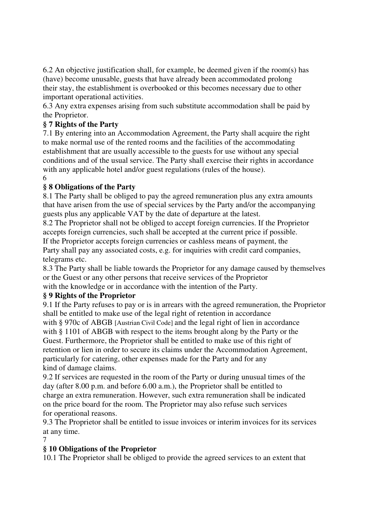6.2 An objective justification shall, for example, be deemed given if the room(s) has (have) become unusable, guests that have already been accommodated prolong their stay, the establishment is overbooked or this becomes necessary due to other important operational activities.

6.3 Any extra expenses arising from such substitute accommodation shall be paid by the Proprietor.

# **§ 7 Rights of the Party**

7.1 By entering into an Accommodation Agreement, the Party shall acquire the right to make normal use of the rented rooms and the facilities of the accommodating establishment that are usually accessible to the guests for use without any special conditions and of the usual service. The Party shall exercise their rights in accordance with any applicable hotel and/or guest regulations (rules of the house). 6

# **§ 8 Obligations of the Party**

8.1 The Party shall be obliged to pay the agreed remuneration plus any extra amounts that have arisen from the use of special services by the Party and/or the accompanying guests plus any applicable VAT by the date of departure at the latest.

8.2 The Proprietor shall not be obliged to accept foreign currencies. If the Proprietor accepts foreign currencies, such shall be accepted at the current price if possible. If the Proprietor accepts foreign currencies or cashless means of payment, the

Party shall pay any associated costs, e.g. for inquiries with credit card companies, telegrams etc.

8.3 The Party shall be liable towards the Proprietor for any damage caused by themselves or the Guest or any other persons that receive services of the Proprietor with the knowledge or in accordance with the intention of the Party.

#### **§ 9 Rights of the Proprietor**

9.1 If the Party refuses to pay or is in arrears with the agreed remuneration, the Proprietor shall be entitled to make use of the legal right of retention in accordance

with § 970c of ABGB [Austrian Civil Code] and the legal right of lien in accordance with § 1101 of ABGB with respect to the items brought along by the Party or the Guest. Furthermore, the Proprietor shall be entitled to make use of this right of retention or lien in order to secure its claims under the Accommodation Agreement, particularly for catering, other expenses made for the Party and for any kind of damage claims.

9.2 If services are requested in the room of the Party or during unusual times of the day (after 8.00 p.m. and before 6.00 a.m.), the Proprietor shall be entitled to charge an extra remuneration. However, such extra remuneration shall be indicated on the price board for the room. The Proprietor may also refuse such services for operational reasons.

9.3 The Proprietor shall be entitled to issue invoices or interim invoices for its services at any time.

7

#### **§ 10 Obligations of the Proprietor**

10.1 The Proprietor shall be obliged to provide the agreed services to an extent that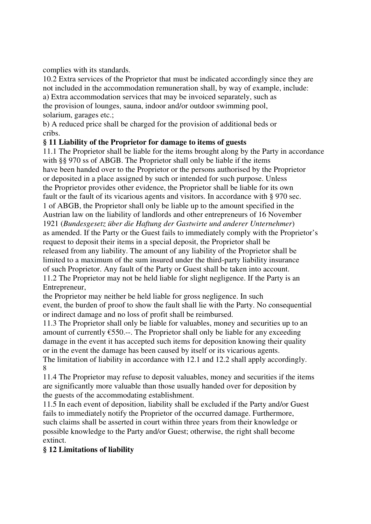complies with its standards.

10.2 Extra services of the Proprietor that must be indicated accordingly since they are not included in the accommodation remuneration shall, by way of example, include: a) Extra accommodation services that may be invoiced separately, such as the provision of lounges, sauna, indoor and/or outdoor swimming pool, solarium, garages etc.;

b) A reduced price shall be charged for the provision of additional beds or cribs.

#### **§ 11 Liability of the Proprietor for damage to items of guests**

11.1 The Proprietor shall be liable for the items brought along by the Party in accordance with §§ 970 ss of ABGB. The Proprietor shall only be liable if the items have been handed over to the Proprietor or the persons authorised by the Proprietor or deposited in a place assigned by such or intended for such purpose. Unless the Proprietor provides other evidence, the Proprietor shall be liable for its own fault or the fault of its vicarious agents and visitors. In accordance with § 970 sec. 1 of ABGB, the Proprietor shall only be liable up to the amount specified in the Austrian law on the liability of landlords and other entrepreneurs of 16 November 1921 (*Bundesgesetz über die Haftung der Gastwirte und anderer Unternehmer*) as amended. If the Party or the Guest fails to immediately comply with the Proprietor's request to deposit their items in a special deposit, the Proprietor shall be released from any liability. The amount of any liability of the Proprietor shall be limited to a maximum of the sum insured under the third-party liability insurance of such Proprietor. Any fault of the Party or Guest shall be taken into account. 11.2 The Proprietor may not be held liable for slight negligence. If the Party is an Entrepreneur,

the Proprietor may neither be held liable for gross negligence. In such event, the burden of proof to show the fault shall lie with the Party. No consequential or indirect damage and no loss of profit shall be reimbursed.

11.3 The Proprietor shall only be liable for valuables, money and securities up to an amount of currently  $\epsilon$ 550.--. The Proprietor shall only be liable for any exceeding damage in the event it has accepted such items for deposition knowing their quality or in the event the damage has been caused by itself or its vicarious agents. The limitation of liability in accordance with 12.1 and 12.2 shall apply accordingly. 8

11.4 The Proprietor may refuse to deposit valuables, money and securities if the items are significantly more valuable than those usually handed over for deposition by the guests of the accommodating establishment.

11.5 In each event of deposition, liability shall be excluded if the Party and/or Guest fails to immediately notify the Proprietor of the occurred damage. Furthermore, such claims shall be asserted in court within three years from their knowledge or possible knowledge to the Party and/or Guest; otherwise, the right shall become extinct.

# **§ 12 Limitations of liability**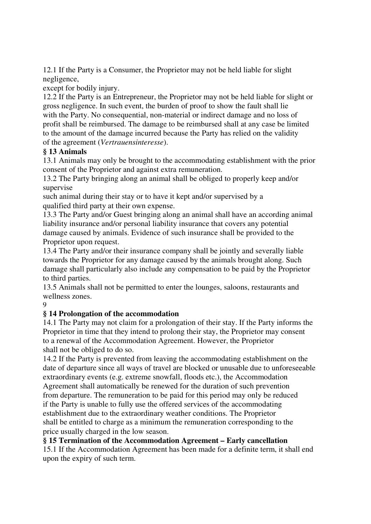12.1 If the Party is a Consumer, the Proprietor may not be held liable for slight negligence,

except for bodily injury.

12.2 If the Party is an Entrepreneur, the Proprietor may not be held liable for slight or gross negligence. In such event, the burden of proof to show the fault shall lie with the Party. No consequential, non-material or indirect damage and no loss of profit shall be reimbursed. The damage to be reimbursed shall at any case be limited to the amount of the damage incurred because the Party has relied on the validity of the agreement (*Vertrauensinteresse*).

# **§ 13 Animals**

13.1 Animals may only be brought to the accommodating establishment with the prior consent of the Proprietor and against extra remuneration.

13.2 The Party bringing along an animal shall be obliged to properly keep and/or supervise

such animal during their stay or to have it kept and/or supervised by a qualified third party at their own expense.

13.3 The Party and/or Guest bringing along an animal shall have an according animal liability insurance and/or personal liability insurance that covers any potential damage caused by animals. Evidence of such insurance shall be provided to the Proprietor upon request.

13.4 The Party and/or their insurance company shall be jointly and severally liable towards the Proprietor for any damage caused by the animals brought along. Such damage shall particularly also include any compensation to be paid by the Proprietor to third parties.

13.5 Animals shall not be permitted to enter the lounges, saloons, restaurants and wellness zones.

9

# **§ 14 Prolongation of the accommodation**

14.1 The Party may not claim for a prolongation of their stay. If the Party informs the Proprietor in time that they intend to prolong their stay, the Proprietor may consent to a renewal of the Accommodation Agreement. However, the Proprietor shall not be obliged to do so.

14.2 If the Party is prevented from leaving the accommodating establishment on the date of departure since all ways of travel are blocked or unusable due to unforeseeable extraordinary events (e.g. extreme snowfall, floods etc.), the Accommodation Agreement shall automatically be renewed for the duration of such prevention from departure. The remuneration to be paid for this period may only be reduced if the Party is unable to fully use the offered services of the accommodating establishment due to the extraordinary weather conditions. The Proprietor shall be entitled to charge as a minimum the remuneration corresponding to the price usually charged in the low season.

#### **§ 15 Termination of the Accommodation Agreement – Early cancellation**

15.1 If the Accommodation Agreement has been made for a definite term, it shall end upon the expiry of such term.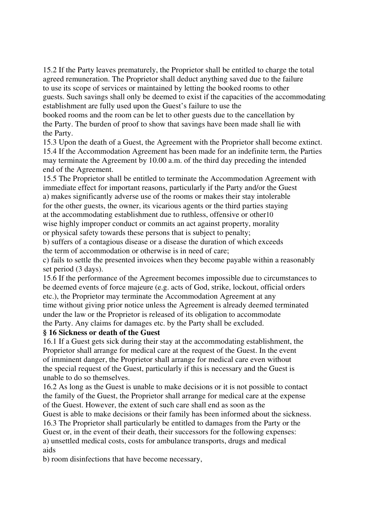15.2 If the Party leaves prematurely, the Proprietor shall be entitled to charge the total agreed remuneration. The Proprietor shall deduct anything saved due to the failure to use its scope of services or maintained by letting the booked rooms to other guests. Such savings shall only be deemed to exist if the capacities of the accommodating establishment are fully used upon the Guest's failure to use the

booked rooms and the room can be let to other guests due to the cancellation by the Party. The burden of proof to show that savings have been made shall lie with the Party.

15.3 Upon the death of a Guest, the Agreement with the Proprietor shall become extinct. 15.4 If the Accommodation Agreement has been made for an indefinite term, the Parties may terminate the Agreement by 10.00 a.m. of the third day preceding the intended end of the Agreement.

15.5 The Proprietor shall be entitled to terminate the Accommodation Agreement with immediate effect for important reasons, particularly if the Party and/or the Guest a) makes significantly adverse use of the rooms or makes their stay intolerable for the other guests, the owner, its vicarious agents or the third parties staying at the accommodating establishment due to ruthless, offensive or other10 wise highly improper conduct or commits an act against property, morality or physical safety towards these persons that is subject to penalty;

b) suffers of a contagious disease or a disease the duration of which exceeds the term of accommodation or otherwise is in need of care;

c) fails to settle the presented invoices when they become payable within a reasonably set period (3 days).

15.6 If the performance of the Agreement becomes impossible due to circumstances to be deemed events of force majeure (e.g. acts of God, strike, lockout, official orders etc.), the Proprietor may terminate the Accommodation Agreement at any time without giving prior notice unless the Agreement is already deemed terminated under the law or the Proprietor is released of its obligation to accommodate the Party. Any claims for damages etc. by the Party shall be excluded.

#### **§ 16 Sickness or death of the Guest**

16.1 If a Guest gets sick during their stay at the accommodating establishment, the Proprietor shall arrange for medical care at the request of the Guest. In the event of imminent danger, the Proprietor shall arrange for medical care even without the special request of the Guest, particularly if this is necessary and the Guest is unable to do so themselves.

16.2 As long as the Guest is unable to make decisions or it is not possible to contact the family of the Guest, the Proprietor shall arrange for medical care at the expense of the Guest. However, the extent of such care shall end as soon as the

Guest is able to make decisions or their family has been informed about the sickness. 16.3 The Proprietor shall particularly be entitled to damages from the Party or the Guest or, in the event of their death, their successors for the following expenses:

a) unsettled medical costs, costs for ambulance transports, drugs and medical aids

b) room disinfections that have become necessary,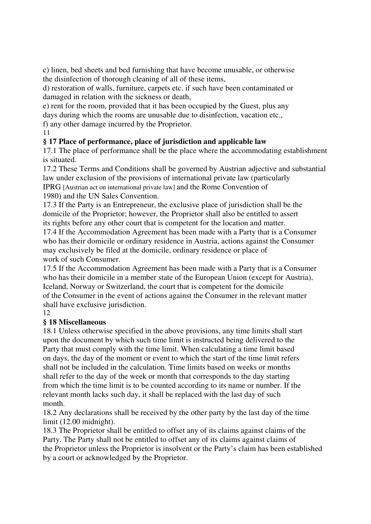c) linen, bed sheets and bed furnishing that have become unusable, or otherwise the disinfection of thorough cleaning of all of these items,

d) restoration of walls, furniture, carpets etc. if such have been contaminated or damaged in relation with the sickness or death,

e) rent for the room, provided that it has been occupied by the Guest, plus any days during which the rooms are unusable due to disinfection, vacation etc.,

f) any other damage incurred by the Proprietor.

11

# **§ 17 Place of performance, place of jurisdiction and applicable law**

17.1 The place of performance shall be the place where the accommodating establishment is situated.

17.2 These Terms and Conditions shall be governed by Austrian adjective and substantial law under exclusion of the provisions of international private law (particularly IPRG [Austrian act on international private law] and the Rome Convention of 1980) and the UN Sales Convention.

17.3 If the Party is an Entrepreneur, the exclusive place of jurisdiction shall be the domicile of the Proprietor; however, the Proprietor shall also be entitled to assert its rights before any other court that is competent for the location and matter.

17.4 If the Accommodation Agreement has been made with a Party that is a Consumer who has their domicile or ordinary residence in Austria, actions against the Consumer may exclusively be filed at the domicile, ordinary residence or place of work of such Consumer.

17.5 If the Accommodation Agreement has been made with a Party that is a Consumer who has their domicile in a member state of the European Union (except for Austria), Iceland, Norway or Switzerland, the court that is competent for the domicile of the Consumer in the event of actions against the Consumer in the relevant matter shall have exclusive jurisdiction.

12

# **§ 18 Miscellaneous**

18.1 Unless otherwise specified in the above provisions, any time limits shall start upon the document by which such time limit is instructed being delivered to the Party that must comply with the time limit. When calculating a time limit based on days, the day of the moment or event to which the start of the time limit refers shall not be included in the calculation. Time limits based on weeks or months shall refer to the day of the week or month that corresponds to the day starting from which the time limit is to be counted according to its name or number. If the relevant month lacks such day, it shall be replaced with the last day of such month.

18.2 Any declarations shall be received by the other party by the last day of the time limit (12.00 midnight).

18.3 The Proprietor shall be entitled to offset any of its claims against claims of the Party. The Party shall not be entitled to offset any of its claims against claims of the Proprietor unless the Proprietor is insolvent or the Party's claim has been established by a court or acknowledged by the Proprietor.